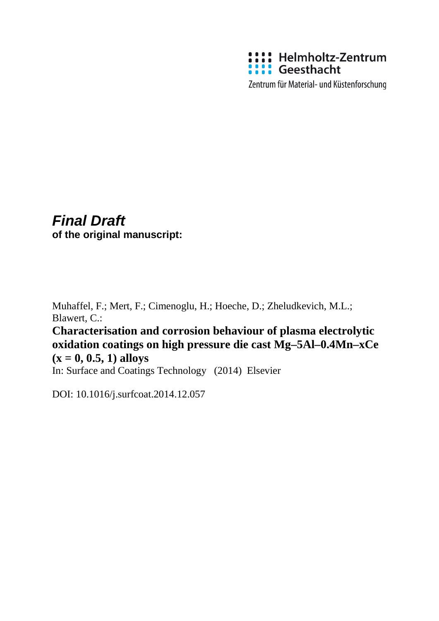

Zentrum für Material- und Küstenforschung

# *Final Draft* **of the original manuscript:**

Muhaffel, F.; Mert, F.; Cimenoglu, H.; Hoeche, D.; Zheludkevich, M.L.; Blawert, C.:

**Characterisation and corrosion behaviour of plasma electrolytic oxidation coatings on high pressure die cast Mg–5Al–0.4Mn–xCe**   $(x = 0, 0.5, 1)$  alloys

In: Surface and Coatings Technology (2014) Elsevier

DOI: 10.1016/j.surfcoat.2014.12.057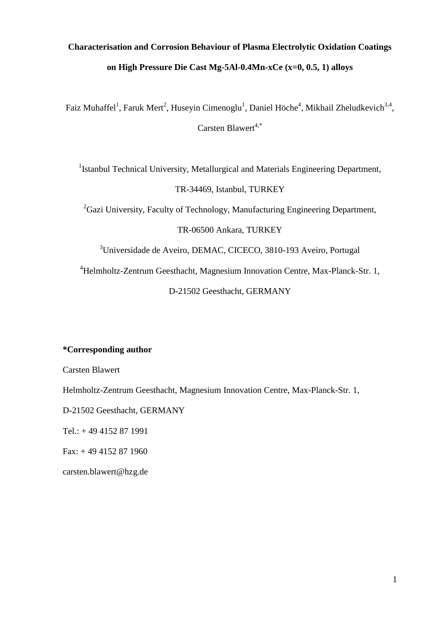# **Characterisation and Corrosion Behaviour of Plasma Electrolytic Oxidation Coatings on High Pressure Die Cast Mg-5Al-0.4Mn-xCe (x=0, 0.5, 1) alloys**

Faiz Muhaffel<sup>1</sup>, Faruk Mert<sup>2</sup>, Huseyin Cimenoglu<sup>1</sup>, Daniel Höche<sup>4</sup>, Mikhail Zheludkevich<sup>3,4</sup>, Carsten Blawert<sup>4,\*</sup>

<sup>1</sup>Istanbul Technical University, Metallurgical and Materials Engineering Department, TR-34469, Istanbul, TURKEY

 ${}^{2}$ Gazi University, Faculty of Technology, Manufacturing Engineering Department, TR-06500 Ankara, TURKEY

<sup>3</sup>Universidade de Aveiro, DEMAC, CICECO, 3810-193 Aveiro, Portugal

<sup>4</sup>Helmholtz-Zentrum Geesthacht, Magnesium Innovation Centre, Max-Planck-Str. 1,

D-21502 Geesthacht, GERMANY

# **\*Corresponding author**

Carsten Blawert

Helmholtz-Zentrum Geesthacht, Magnesium Innovation Centre, Max-Planck-Str. 1,

D-21502 Geesthacht, GERMANY

Tel.: + 49 4152 87 1991

Fax: + 49 4152 87 1960

[carsten.blawert@hzg.de](mailto:carsten.blawert@hzg.de)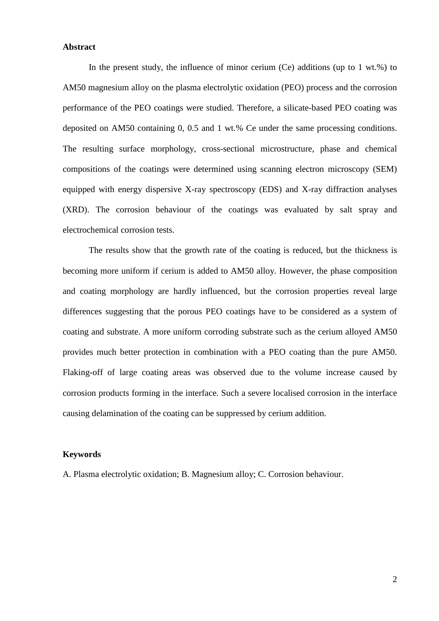# **Abstract**

In the present study, the influence of minor cerium  $(Ce)$  additions (up to 1 wt.%) to AM50 magnesium alloy on the plasma electrolytic oxidation (PEO) process and the corrosion performance of the PEO coatings were studied. Therefore, a silicate-based PEO coating was deposited on AM50 containing 0, 0.5 and 1 wt.% Ce under the same processing conditions. The resulting surface morphology, cross-sectional microstructure, phase and chemical compositions of the coatings were determined using scanning electron microscopy (SEM) equipped with energy dispersive X-ray spectroscopy (EDS) and X-ray diffraction analyses (XRD). The corrosion behaviour of the coatings was evaluated by salt spray and electrochemical corrosion tests.

The results show that the growth rate of the coating is reduced, but the thickness is becoming more uniform if cerium is added to AM50 alloy. However, the phase composition and coating morphology are hardly influenced, but the corrosion properties reveal large differences suggesting that the porous PEO coatings have to be considered as a system of coating and substrate. A more uniform corroding substrate such as the cerium alloyed AM50 provides much better protection in combination with a PEO coating than the pure AM50. Flaking-off of large coating areas was observed due to the volume increase caused by corrosion products forming in the interface. Such a severe localised corrosion in the interface causing delamination of the coating can be suppressed by cerium addition.

#### **Keywords**

A. Plasma electrolytic oxidation; B. Magnesium alloy; C. Corrosion behaviour.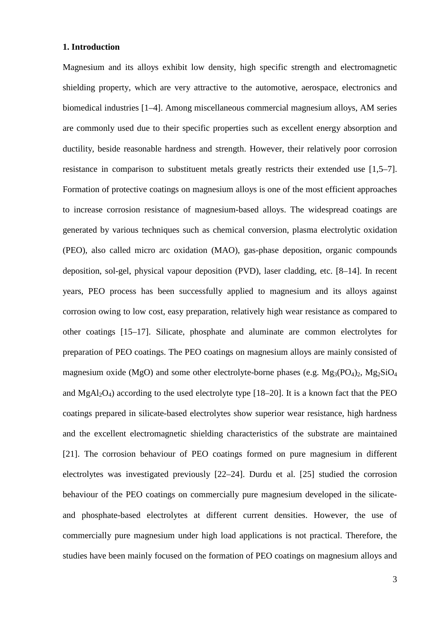# **1. Introduction**

Magnesium and its alloys exhibit low density, high specific strength and electromagnetic shielding property, which are very attractive to the automotive, aerospace, electronics and biomedical industries [1–4]. Among miscellaneous commercial magnesium alloys, AM series are commonly used due to their specific properties such as excellent energy absorption and ductility, beside reasonable hardness and strength. However, their relatively poor corrosion resistance in comparison to substituent metals greatly restricts their extended use [1,5–7]. Formation of protective coatings on magnesium alloys is one of the most efficient approaches to increase corrosion resistance of magnesium-based alloys. The widespread coatings are generated by various techniques such as chemical conversion, plasma electrolytic oxidation (PEO), also called micro arc oxidation (MAO), gas-phase deposition, organic compounds deposition, sol-gel, physical vapour deposition (PVD), laser cladding, etc. [8–14]. In recent years, PEO process has been successfully applied to magnesium and its alloys against corrosion owing to low cost, easy preparation, relatively high wear resistance as compared to other coatings [15–17]. Silicate, phosphate and aluminate are common electrolytes for preparation of PEO coatings. The PEO coatings on magnesium alloys are mainly consisted of magnesium oxide (MgO) and some other electrolyte-borne phases (e.g.  $Mg_3(PO_4)_2$ ,  $Mg_2SiO_4$ and  $MgA_1Q_4$ ) according to the used electrolyte type [18–20]. It is a known fact that the PEO coatings prepared in silicate-based electrolytes show superior wear resistance, high hardness and the excellent electromagnetic shielding characteristics of the substrate are maintained [21]. The corrosion behaviour of PEO coatings formed on pure magnesium in different electrolytes was investigated previously [22–24]. Durdu et al. [25] studied the corrosion behaviour of the PEO coatings on commercially pure magnesium developed in the silicateand phosphate-based electrolytes at different current densities. However, the use of commercially pure magnesium under high load applications is not practical. Therefore, the studies have been mainly focused on the formation of PEO coatings on magnesium alloys and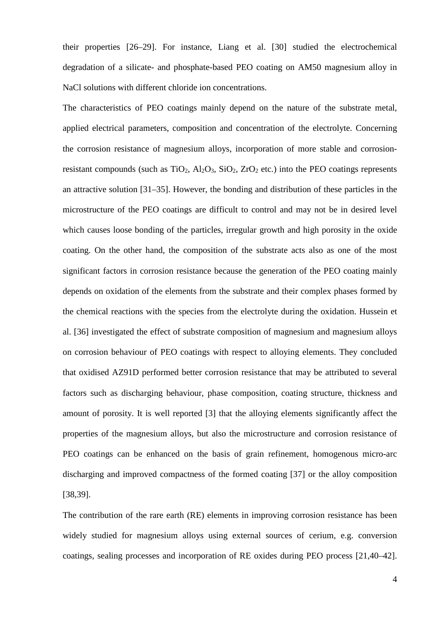their properties [26–29]. For instance, Liang et al. [30] studied the electrochemical degradation of a silicate- and phosphate-based PEO coating on AM50 magnesium alloy in NaCl solutions with different chloride ion concentrations.

The characteristics of PEO coatings mainly depend on the nature of the substrate metal, applied electrical parameters, composition and concentration of the electrolyte. Concerning the corrosion resistance of magnesium alloys, incorporation of more stable and corrosionresistant compounds (such as  $TiO_2$ ,  $Al_2O_3$ ,  $SiO_2$ ,  $ZrO_2$  etc.) into the PEO coatings represents an attractive solution [31–35]. However, the bonding and distribution of these particles in the microstructure of the PEO coatings are difficult to control and may not be in desired level which causes loose bonding of the particles, irregular growth and high porosity in the oxide coating. On the other hand, the composition of the substrate acts also as one of the most significant factors in corrosion resistance because the generation of the PEO coating mainly depends on oxidation of the elements from the substrate and their complex phases formed by the chemical reactions with the species from the electrolyte during the oxidation. Hussein et al. [36] investigated the effect of substrate composition of magnesium and magnesium alloys on corrosion behaviour of PEO coatings with respect to alloying elements. They concluded that oxidised AZ91D performed better corrosion resistance that may be attributed to several factors such as discharging behaviour, phase composition, coating structure, thickness and amount of porosity. It is well reported [3] that the alloying elements significantly affect the properties of the magnesium alloys, but also the microstructure and corrosion resistance of PEO coatings can be enhanced on the basis of grain refinement, homogenous micro-arc discharging and improved compactness of the formed coating [37] or the alloy composition [38,39].

The contribution of the rare earth (RE) elements in improving corrosion resistance has been widely studied for magnesium alloys using external sources of cerium, e.g. conversion coatings, sealing processes and incorporation of RE oxides during PEO process [21,40–42].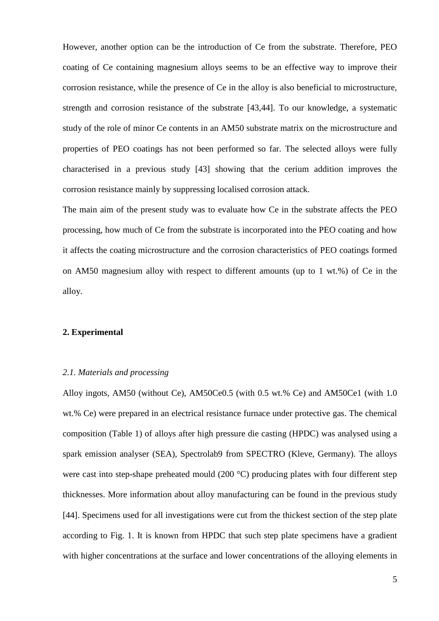However, another option can be the introduction of Ce from the substrate. Therefore, PEO coating of Ce containing magnesium alloys seems to be an effective way to improve their corrosion resistance, while the presence of Ce in the alloy is also beneficial to microstructure, strength and corrosion resistance of the substrate [43,44]. To our knowledge, a systematic study of the role of minor Ce contents in an AM50 substrate matrix on the microstructure and properties of PEO coatings has not been performed so far. The selected alloys were fully characterised in a previous study [43] showing that the cerium addition improves the corrosion resistance mainly by suppressing localised corrosion attack.

The main aim of the present study was to evaluate how Ce in the substrate affects the PEO processing, how much of Ce from the substrate is incorporated into the PEO coating and how it affects the coating microstructure and the corrosion characteristics of PEO coatings formed on AM50 magnesium alloy with respect to different amounts (up to 1 wt.%) of Ce in the alloy.

#### **2. Experimental**

# *2.1. Materials and processing*

Alloy ingots, AM50 (without Ce), AM50Ce0.5 (with 0.5 wt.% Ce) and AM50Ce1 (with 1.0 wt.% Ce) were prepared in an electrical resistance furnace under protective gas. The chemical composition (Table 1) of alloys after high pressure die casting (HPDC) was analysed using a spark emission analyser (SEA), Spectrolab9 from SPECTRO (Kleve, Germany). The alloys were cast into step-shape preheated mould (200 °C) producing plates with four different step thicknesses. More information about alloy manufacturing can be found in the previous study [44]. Specimens used for all investigations were cut from the thickest section of the step plate according to Fig. 1. It is known from HPDC that such step plate specimens have a gradient with higher concentrations at the surface and lower concentrations of the alloying elements in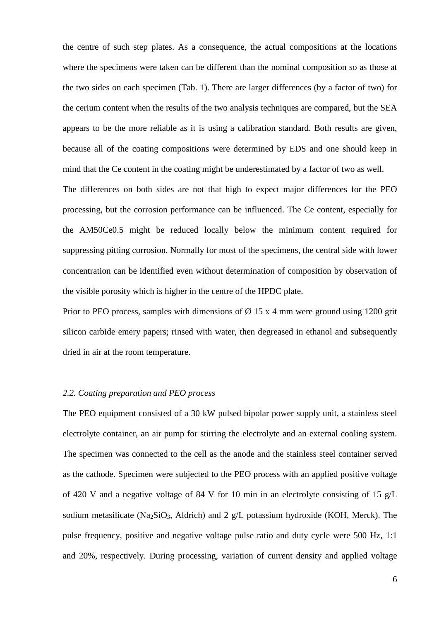the centre of such step plates. As a consequence, the actual compositions at the locations where the specimens were taken can be different than the nominal composition so as those at the two sides on each specimen (Tab. 1). There are larger differences (by a factor of two) for the cerium content when the results of the two analysis techniques are compared, but the SEA appears to be the more reliable as it is using a calibration standard. Both results are given, because all of the coating compositions were determined by EDS and one should keep in mind that the Ce content in the coating might be underestimated by a factor of two as well.

The differences on both sides are not that high to expect major differences for the PEO processing, but the corrosion performance can be influenced. The Ce content, especially for the AM50Ce0.5 might be reduced locally below the minimum content required for suppressing pitting corrosion. Normally for most of the specimens, the central side with lower concentration can be identified even without determination of composition by observation of the visible porosity which is higher in the centre of the HPDC plate.

Prior to PEO process, samples with dimensions of  $\varnothing$  15 x 4 mm were ground using 1200 grit silicon carbide emery papers; rinsed with water, then degreased in ethanol and subsequently dried in air at the room temperature.

# *2.2. Coating preparation and PEO process*

The PEO equipment consisted of a 30 kW pulsed bipolar power supply unit, a stainless steel electrolyte container, an air pump for stirring the electrolyte and an external cooling system. The specimen was connected to the cell as the anode and the stainless steel container served as the cathode. Specimen were subjected to the PEO process with an applied positive voltage of 420 V and a negative voltage of 84 V for 10 min in an electrolyte consisting of 15 g/L sodium metasilicate (Na<sub>2</sub>SiO<sub>3</sub>, Aldrich) and 2 g/L potassium hydroxide (KOH, Merck). The pulse frequency, positive and negative voltage pulse ratio and duty cycle were 500 Hz, 1:1 and 20%, respectively. During processing, variation of current density and applied voltage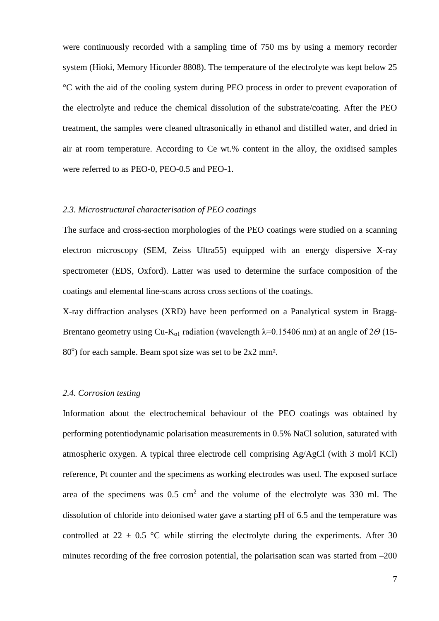were continuously recorded with a sampling time of 750 ms by using a memory recorder system (Hioki, Memory Hicorder 8808). The temperature of the electrolyte was kept below 25 °C with the aid of the cooling system during PEO process in order to prevent evaporation of the electrolyte and reduce the chemical dissolution of the substrate/coating. After the PEO treatment, the samples were cleaned ultrasonically in ethanol and distilled water, and dried in air at room temperature. According to Ce wt.% content in the alloy, the oxidised samples were referred to as PEO-0, PEO-0.5 and PEO-1.

#### *2.3. Microstructural characterisation of PEO coatings*

The surface and cross-section morphologies of the PEO coatings were studied on a scanning electron microscopy (SEM, Zeiss Ultra55) equipped with an energy dispersive X-ray spectrometer (EDS, Oxford). Latter was used to determine the surface composition of the coatings and elemental line-scans across cross sections of the coatings.

X-ray diffraction analyses (XRD) have been performed on a Panalytical system in Bragg-Brentano geometry using Cu-K<sub>α1</sub> radiation (wavelength  $\lambda$ =0.15406 nm) at an angle of 2*Θ* (15-80°) for each sample. Beam spot size was set to be 2x2 mm<sup>2</sup>.

# *2.4. Corrosion testing*

Information about the electrochemical behaviour of the PEO coatings was obtained by performing potentiodynamic polarisation measurements in 0.5% NaCl solution, saturated with atmospheric oxygen. A typical three electrode cell comprising Ag/AgCl (with 3 mol/l KCl) reference, Pt counter and the specimens as working electrodes was used. The exposed surface area of the specimens was  $0.5 \text{ cm}^2$  and the volume of the electrolyte was 330 ml. The dissolution of chloride into deionised water gave a starting pH of 6.5 and the temperature was controlled at 22  $\pm$  0.5 °C while stirring the electrolyte during the experiments. After 30 minutes recording of the free corrosion potential, the polarisation scan was started from  $-200$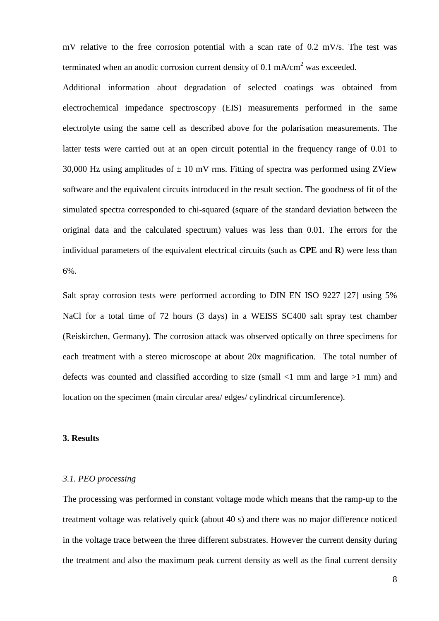mV relative to the free corrosion potential with a scan rate of 0.2 mV/s. The test was terminated when an anodic corrosion current density of 0.1 mA/cm<sup>2</sup> was exceeded.

Additional information about degradation of selected coatings was obtained from electrochemical impedance spectroscopy (EIS) measurements performed in the same electrolyte using the same cell as described above for the polarisation measurements. The latter tests were carried out at an open circuit potential in the frequency range of 0.01 to 30,000 Hz using amplitudes of  $\pm$  10 mV rms. Fitting of spectra was performed using ZView software and the equivalent circuits introduced in the result section. The goodness of fit of the simulated spectra corresponded to chi-squared (square of the standard deviation between the original data and the calculated spectrum) values was less than 0.01. The errors for the individual parameters of the equivalent electrical circuits (such as **CPE** and **R**) were less than 6%.

Salt spray corrosion tests were performed according to DIN EN ISO 9227 [27] using 5% NaCl for a total time of 72 hours (3 days) in a WEISS SC400 salt spray test chamber (Reiskirchen, Germany). The corrosion attack was observed optically on three specimens for each treatment with a stereo microscope at about 20x magnification. The total number of defects was counted and classified according to size (small <1 mm and large >1 mm) and location on the specimen (main circular area/ edges/ cylindrical circumference).

#### **3. Results**

#### *3.1. PEO processing*

The processing was performed in constant voltage mode which means that the ramp-up to the treatment voltage was relatively quick (about 40 s) and there was no major difference noticed in the voltage trace between the three different substrates. However the current density during the treatment and also the maximum peak current density as well as the final current density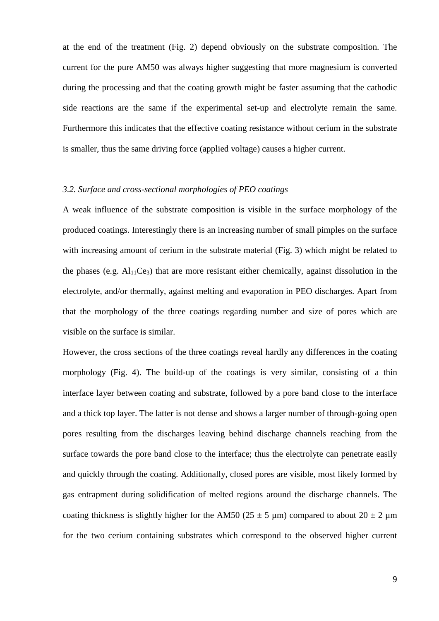at the end of the treatment (Fig. 2) depend obviously on the substrate composition. The current for the pure AM50 was always higher suggesting that more magnesium is converted during the processing and that the coating growth might be faster assuming that the cathodic side reactions are the same if the experimental set-up and electrolyte remain the same. Furthermore this indicates that the effective coating resistance without cerium in the substrate is smaller, thus the same driving force (applied voltage) causes a higher current.

# *3.2. Surface and cross-sectional morphologies of PEO coatings*

A weak influence of the substrate composition is visible in the surface morphology of the produced coatings. Interestingly there is an increasing number of small pimples on the surface with increasing amount of cerium in the substrate material (Fig. 3) which might be related to the phases (e.g.  $Al<sub>11</sub>Ce<sub>3</sub>$ ) that are more resistant either chemically, against dissolution in the electrolyte, and/or thermally, against melting and evaporation in PEO discharges. Apart from that the morphology of the three coatings regarding number and size of pores which are visible on the surface is similar.

However, the cross sections of the three coatings reveal hardly any differences in the coating morphology (Fig. 4). The build-up of the coatings is very similar, consisting of a thin interface layer between coating and substrate, followed by a pore band close to the interface and a thick top layer. The latter is not dense and shows a larger number of through-going open pores resulting from the discharges leaving behind discharge channels reaching from the surface towards the pore band close to the interface; thus the electrolyte can penetrate easily and quickly through the coating. Additionally, closed pores are visible, most likely formed by gas entrapment during solidification of melted regions around the discharge channels. The coating thickness is slightly higher for the AM50 (25  $\pm$  5 µm) compared to about 20  $\pm$  2 µm for the two cerium containing substrates which correspond to the observed higher current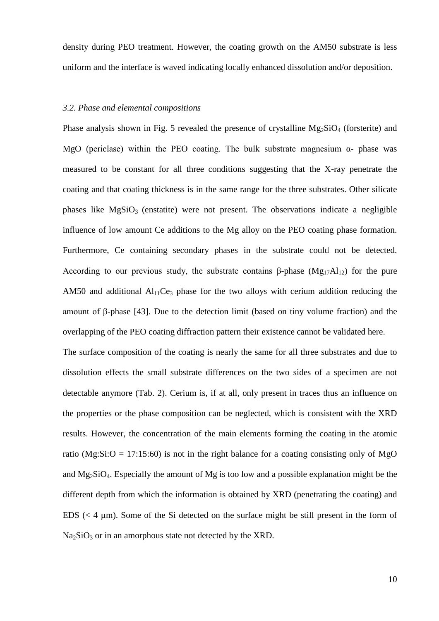density during PEO treatment. However, the coating growth on the AM50 substrate is less uniform and the interface is waved indicating locally enhanced dissolution and/or deposition.

# *3.2. Phase and elemental compositions*

Phase analysis shown in Fig. 5 revealed the presence of crystalline  $Mg_2SiO<sub>4</sub>$  (forsterite) and MgO (periclase) within the PEO coating. The bulk substrate magnesium  $\alpha$ - phase was measured to be constant for all three conditions suggesting that the X-ray penetrate the coating and that coating thickness is in the same range for the three substrates. Other silicate phases like  $MgSiO<sub>3</sub>$  (enstatite) were not present. The observations indicate a negligible influence of low amount Ce additions to the Mg alloy on the PEO coating phase formation. Furthermore, Ce containing secondary phases in the substrate could not be detected. According to our previous study, the substrate contains β-phase  $(Mg_{17}Al_{12})$  for the pure AM50 and additional  $Al<sub>11</sub>Ce<sub>3</sub>$  phase for the two alloys with cerium addition reducing the amount of β-phase [43]. Due to the detection limit (based on tiny volume fraction) and the overlapping of the PEO coating diffraction pattern their existence cannot be validated here.

The surface composition of the coating is nearly the same for all three substrates and due to dissolution effects the small substrate differences on the two sides of a specimen are not detectable anymore (Tab. 2). Cerium is, if at all, only present in traces thus an influence on the properties or the phase composition can be neglected, which is consistent with the XRD results. However, the concentration of the main elements forming the coating in the atomic ratio (Mg:Si: $O = 17:15:60$ ) is not in the right balance for a coating consisting only of MgO and  $Mg_2SiO_4$ . Especially the amount of Mg is too low and a possible explanation might be the different depth from which the information is obtained by XRD (penetrating the coating) and EDS  $(< 4 \mu m)$ . Some of the Si detected on the surface might be still present in the form of  $Na<sub>2</sub>SiO<sub>3</sub>$  or in an amorphous state not detected by the XRD.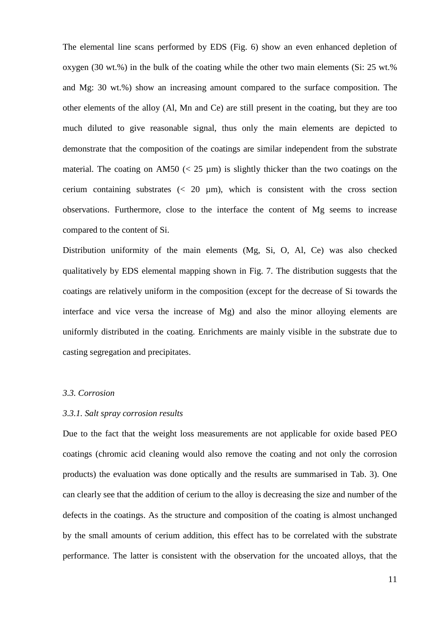The elemental line scans performed by EDS (Fig. 6) show an even enhanced depletion of oxygen (30 wt.%) in the bulk of the coating while the other two main elements (Si: 25 wt.% and Mg: 30 wt.%) show an increasing amount compared to the surface composition. The other elements of the alloy (Al, Mn and Ce) are still present in the coating, but they are too much diluted to give reasonable signal, thus only the main elements are depicted to demonstrate that the composition of the coatings are similar independent from the substrate material. The coating on AM50 ( $\lt 25 \mu m$ ) is slightly thicker than the two coatings on the cerium containing substrates  $\left($   $\leq$  20  $\mu$ m), which is consistent with the cross section observations. Furthermore, close to the interface the content of Mg seems to increase compared to the content of Si.

Distribution uniformity of the main elements (Mg, Si, O, Al, Ce) was also checked qualitatively by EDS elemental mapping shown in Fig. 7. The distribution suggests that the coatings are relatively uniform in the composition (except for the decrease of Si towards the interface and vice versa the increase of Mg) and also the minor alloying elements are uniformly distributed in the coating. Enrichments are mainly visible in the substrate due to casting segregation and precipitates.

#### *3.3. Corrosion*

#### *3.3.1. Salt spray corrosion results*

Due to the fact that the weight loss measurements are not applicable for oxide based PEO coatings (chromic acid cleaning would also remove the coating and not only the corrosion products) the evaluation was done optically and the results are summarised in Tab. 3). One can clearly see that the addition of cerium to the alloy is decreasing the size and number of the defects in the coatings. As the structure and composition of the coating is almost unchanged by the small amounts of cerium addition, this effect has to be correlated with the substrate performance. The latter is consistent with the observation for the uncoated alloys, that the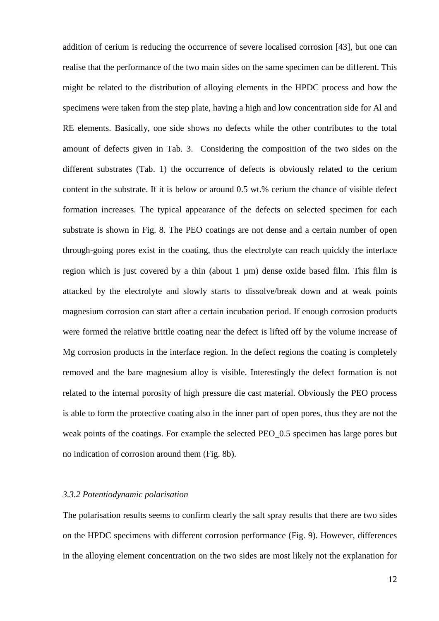addition of cerium is reducing the occurrence of severe localised corrosion [43], but one can realise that the performance of the two main sides on the same specimen can be different. This might be related to the distribution of alloying elements in the HPDC process and how the specimens were taken from the step plate, having a high and low concentration side for Al and RE elements. Basically, one side shows no defects while the other contributes to the total amount of defects given in Tab. 3. Considering the composition of the two sides on the different substrates (Tab. 1) the occurrence of defects is obviously related to the cerium content in the substrate. If it is below or around 0.5 wt.% cerium the chance of visible defect formation increases. The typical appearance of the defects on selected specimen for each substrate is shown in Fig. 8. The PEO coatings are not dense and a certain number of open through-going pores exist in the coating, thus the electrolyte can reach quickly the interface region which is just covered by a thin (about  $1 \mu m$ ) dense oxide based film. This film is attacked by the electrolyte and slowly starts to dissolve/break down and at weak points magnesium corrosion can start after a certain incubation period. If enough corrosion products were formed the relative brittle coating near the defect is lifted off by the volume increase of Mg corrosion products in the interface region. In the defect regions the coating is completely removed and the bare magnesium alloy is visible. Interestingly the defect formation is not related to the internal porosity of high pressure die cast material. Obviously the PEO process is able to form the protective coating also in the inner part of open pores, thus they are not the weak points of the coatings. For example the selected PEO 0.5 specimen has large pores but no indication of corrosion around them (Fig. 8b).

# *3.3.2 Potentiodynamic polarisation*

The polarisation results seems to confirm clearly the salt spray results that there are two sides on the HPDC specimens with different corrosion performance (Fig. 9). However, differences in the alloying element concentration on the two sides are most likely not the explanation for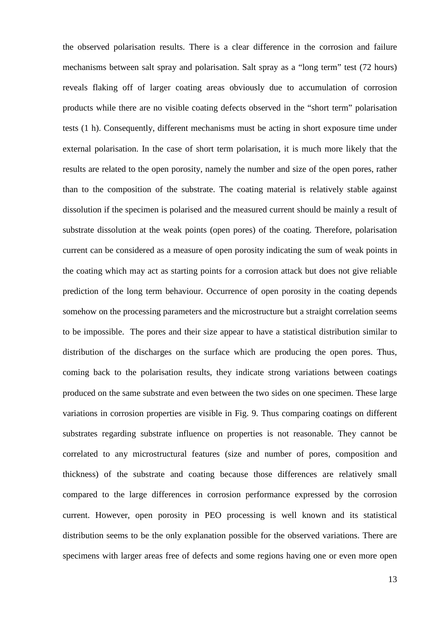the observed polarisation results. There is a clear difference in the corrosion and failure mechanisms between salt spray and polarisation. Salt spray as a "long term" test (72 hours) reveals flaking off of larger coating areas obviously due to accumulation of corrosion products while there are no visible coating defects observed in the "short term" polarisation tests (1 h). Consequently, different mechanisms must be acting in short exposure time under external polarisation. In the case of short term polarisation, it is much more likely that the results are related to the open porosity, namely the number and size of the open pores, rather than to the composition of the substrate. The coating material is relatively stable against dissolution if the specimen is polarised and the measured current should be mainly a result of substrate dissolution at the weak points (open pores) of the coating. Therefore, polarisation current can be considered as a measure of open porosity indicating the sum of weak points in the coating which may act as starting points for a corrosion attack but does not give reliable prediction of the long term behaviour. Occurrence of open porosity in the coating depends somehow on the processing parameters and the microstructure but a straight correlation seems to be impossible. The pores and their size appear to have a statistical distribution similar to distribution of the discharges on the surface which are producing the open pores. Thus, coming back to the polarisation results, they indicate strong variations between coatings produced on the same substrate and even between the two sides on one specimen. These large variations in corrosion properties are visible in Fig. 9. Thus comparing coatings on different substrates regarding substrate influence on properties is not reasonable. They cannot be correlated to any microstructural features (size and number of pores, composition and thickness) of the substrate and coating because those differences are relatively small compared to the large differences in corrosion performance expressed by the corrosion current. However, open porosity in PEO processing is well known and its statistical distribution seems to be the only explanation possible for the observed variations. There are specimens with larger areas free of defects and some regions having one or even more open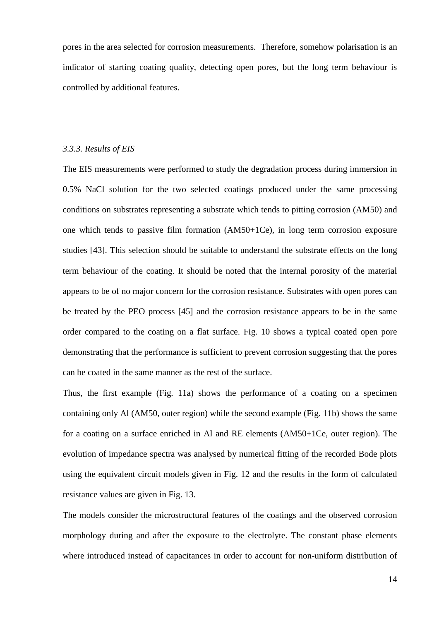pores in the area selected for corrosion measurements. Therefore, somehow polarisation is an indicator of starting coating quality, detecting open pores, but the long term behaviour is controlled by additional features.

#### *3.3.3. Results of EIS*

The EIS measurements were performed to study the degradation process during immersion in 0.5% NaCl solution for the two selected coatings produced under the same processing conditions on substrates representing a substrate which tends to pitting corrosion (AM50) and one which tends to passive film formation (AM50+1Ce), in long term corrosion exposure studies [43]. This selection should be suitable to understand the substrate effects on the long term behaviour of the coating. It should be noted that the internal porosity of the material appears to be of no major concern for the corrosion resistance. Substrates with open pores can be treated by the PEO process [45] and the corrosion resistance appears to be in the same order compared to the coating on a flat surface. Fig. 10 shows a typical coated open pore demonstrating that the performance is sufficient to prevent corrosion suggesting that the pores can be coated in the same manner as the rest of the surface.

Thus, the first example (Fig. 11a) shows the performance of a coating on a specimen containing only Al (AM50, outer region) while the second example (Fig. 11b) shows the same for a coating on a surface enriched in Al and RE elements (AM50+1Ce, outer region). The evolution of impedance spectra was analysed by numerical fitting of the recorded Bode plots using the equivalent circuit models given in Fig. 12 and the results in the form of calculated resistance values are given in Fig. 13.

The models consider the microstructural features of the coatings and the observed corrosion morphology during and after the exposure to the electrolyte. The constant phase elements where introduced instead of capacitances in order to account for non-uniform distribution of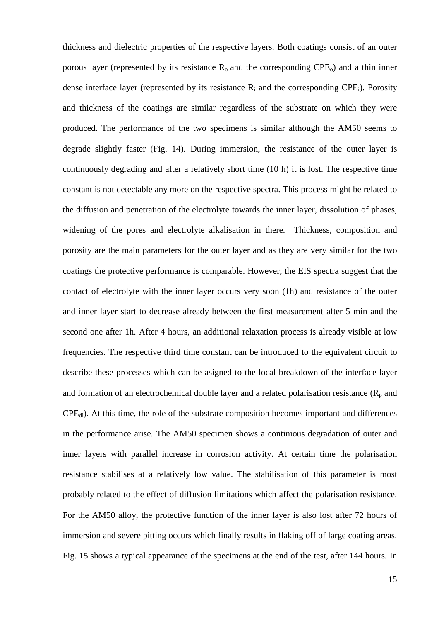thickness and dielectric properties of the respective layers. Both coatings consist of an outer porous layer (represented by its resistance  $R_0$  and the corresponding CPE<sub>0</sub>) and a thin inner dense interface layer (represented by its resistance  $R_i$  and the corresponding CPE<sub>i</sub>). Porosity and thickness of the coatings are similar regardless of the substrate on which they were produced. The performance of the two specimens is similar although the AM50 seems to degrade slightly faster (Fig. 14). During immersion, the resistance of the outer layer is continuously degrading and after a relatively short time (10 h) it is lost. The respective time constant is not detectable any more on the respective spectra. This process might be related to the diffusion and penetration of the electrolyte towards the inner layer, dissolution of phases, widening of the pores and electrolyte alkalisation in there. Thickness, composition and porosity are the main parameters for the outer layer and as they are very similar for the two coatings the protective performance is comparable. However, the EIS spectra suggest that the contact of electrolyte with the inner layer occurs very soon (1h) and resistance of the outer and inner layer start to decrease already between the first measurement after 5 min and the second one after 1h. After 4 hours, an additional relaxation process is already visible at low frequencies. The respective third time constant can be introduced to the equivalent circuit to describe these processes which can be asigned to the local breakdown of the interface layer and formation of an electrochemical double layer and a related polarisation resistance  $(R_p$  and  $CPE<sub>dl</sub>$ ). At this time, the role of the substrate composition becomes important and differences in the performance arise. The AM50 specimen shows a continious degradation of outer and inner layers with parallel increase in corrosion activity. At certain time the polarisation resistance stabilises at a relatively low value. The stabilisation of this parameter is most probably related to the effect of diffusion limitations which affect the polarisation resistance. For the AM50 alloy, the protective function of the inner layer is also lost after 72 hours of immersion and severe pitting occurs which finally results in flaking off of large coating areas. Fig. 15 shows a typical appearance of the specimens at the end of the test, after 144 hours*.* In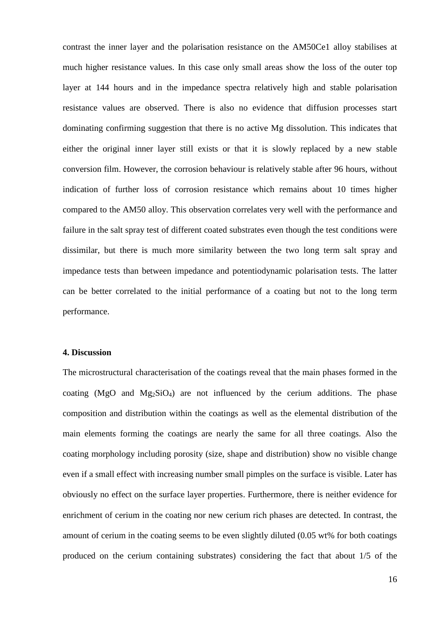contrast the inner layer and the polarisation resistance on the AM50Ce1 alloy stabilises at much higher resistance values. In this case only small areas show the loss of the outer top layer at 144 hours and in the impedance spectra relatively high and stable polarisation resistance values are observed. There is also no evidence that diffusion processes start dominating confirming suggestion that there is no active Mg dissolution. This indicates that either the original inner layer still exists or that it is slowly replaced by a new stable conversion film. However, the corrosion behaviour is relatively stable after 96 hours, without indication of further loss of corrosion resistance which remains about 10 times higher compared to the AM50 alloy. This observation correlates very well with the performance and failure in the salt spray test of different coated substrates even though the test conditions were dissimilar, but there is much more similarity between the two long term salt spray and impedance tests than between impedance and potentiodynamic polarisation tests. The latter can be better correlated to the initial performance of a coating but not to the long term performance.

# **4. Discussion**

The microstructural characterisation of the coatings reveal that the main phases formed in the coating (MgO and Mg<sub>2</sub>SiO<sub>4</sub>) are not influenced by the cerium additions. The phase composition and distribution within the coatings as well as the elemental distribution of the main elements forming the coatings are nearly the same for all three coatings. Also the coating morphology including porosity (size, shape and distribution) show no visible change even if a small effect with increasing number small pimples on the surface is visible. Later has obviously no effect on the surface layer properties. Furthermore, there is neither evidence for enrichment of cerium in the coating nor new cerium rich phases are detected. In contrast, the amount of cerium in the coating seems to be even slightly diluted (0.05 wt% for both coatings produced on the cerium containing substrates) considering the fact that about 1/5 of the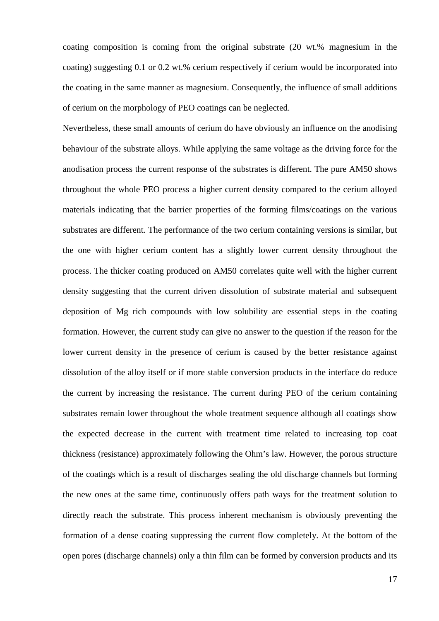coating composition is coming from the original substrate (20 wt.% magnesium in the coating) suggesting 0.1 or 0.2 wt.% cerium respectively if cerium would be incorporated into the coating in the same manner as magnesium. Consequently, the influence of small additions of cerium on the morphology of PEO coatings can be neglected.

Nevertheless, these small amounts of cerium do have obviously an influence on the anodising behaviour of the substrate alloys. While applying the same voltage as the driving force for the anodisation process the current response of the substrates is different. The pure AM50 shows throughout the whole PEO process a higher current density compared to the cerium alloyed materials indicating that the barrier properties of the forming films/coatings on the various substrates are different. The performance of the two cerium containing versions is similar, but the one with higher cerium content has a slightly lower current density throughout the process. The thicker coating produced on AM50 correlates quite well with the higher current density suggesting that the current driven dissolution of substrate material and subsequent deposition of Mg rich compounds with low solubility are essential steps in the coating formation. However, the current study can give no answer to the question if the reason for the lower current density in the presence of cerium is caused by the better resistance against dissolution of the alloy itself or if more stable conversion products in the interface do reduce the current by increasing the resistance. The current during PEO of the cerium containing substrates remain lower throughout the whole treatment sequence although all coatings show the expected decrease in the current with treatment time related to increasing top coat thickness (resistance) approximately following the Ohm's law. However, the porous structure of the coatings which is a result of discharges sealing the old discharge channels but forming the new ones at the same time, continuously offers path ways for the treatment solution to directly reach the substrate. This process inherent mechanism is obviously preventing the formation of a dense coating suppressing the current flow completely. At the bottom of the open pores (discharge channels) only a thin film can be formed by conversion products and its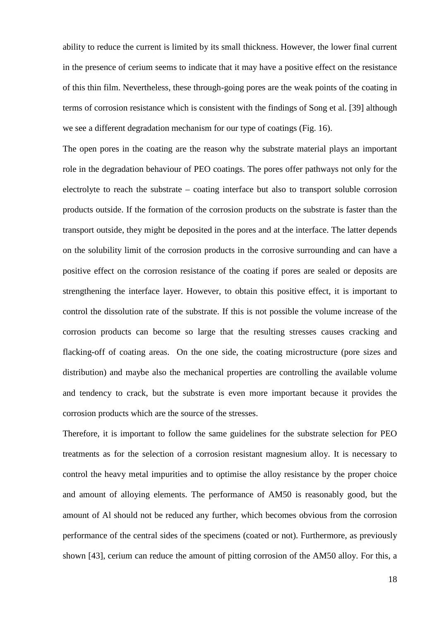ability to reduce the current is limited by its small thickness. However, the lower final current in the presence of cerium seems to indicate that it may have a positive effect on the resistance of this thin film. Nevertheless, these through-going pores are the weak points of the coating in terms of corrosion resistance which is consistent with the findings of Song et al. [39] although we see a different degradation mechanism for our type of coatings (Fig. 16).

The open pores in the coating are the reason why the substrate material plays an important role in the degradation behaviour of PEO coatings. The pores offer pathways not only for the electrolyte to reach the substrate – coating interface but also to transport soluble corrosion products outside. If the formation of the corrosion products on the substrate is faster than the transport outside, they might be deposited in the pores and at the interface. The latter depends on the solubility limit of the corrosion products in the corrosive surrounding and can have a positive effect on the corrosion resistance of the coating if pores are sealed or deposits are strengthening the interface layer. However, to obtain this positive effect, it is important to control the dissolution rate of the substrate. If this is not possible the volume increase of the corrosion products can become so large that the resulting stresses causes cracking and flacking-off of coating areas. On the one side, the coating microstructure (pore sizes and distribution) and maybe also the mechanical properties are controlling the available volume and tendency to crack, but the substrate is even more important because it provides the corrosion products which are the source of the stresses.

Therefore, it is important to follow the same guidelines for the substrate selection for PEO treatments as for the selection of a corrosion resistant magnesium alloy. It is necessary to control the heavy metal impurities and to optimise the alloy resistance by the proper choice and amount of alloying elements. The performance of AM50 is reasonably good, but the amount of Al should not be reduced any further, which becomes obvious from the corrosion performance of the central sides of the specimens (coated or not). Furthermore, as previously shown [43], cerium can reduce the amount of pitting corrosion of the AM50 alloy. For this, a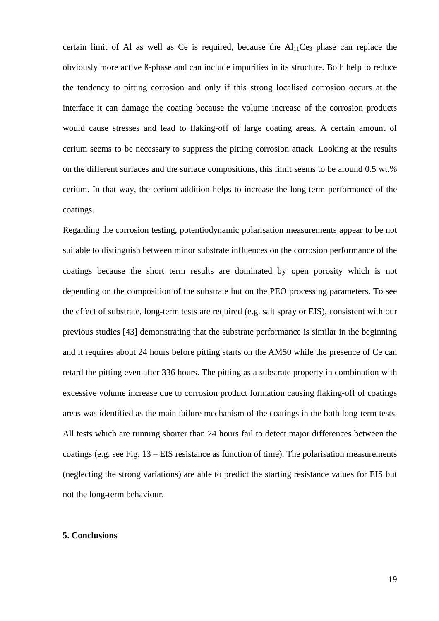certain limit of Al as well as Ce is required, because the  $Al<sub>11</sub>Ce<sub>3</sub>$  phase can replace the obviously more active ß-phase and can include impurities in its structure. Both help to reduce the tendency to pitting corrosion and only if this strong localised corrosion occurs at the interface it can damage the coating because the volume increase of the corrosion products would cause stresses and lead to flaking-off of large coating areas. A certain amount of cerium seems to be necessary to suppress the pitting corrosion attack. Looking at the results on the different surfaces and the surface compositions, this limit seems to be around 0.5 wt.% cerium. In that way, the cerium addition helps to increase the long-term performance of the coatings.

Regarding the corrosion testing, potentiodynamic polarisation measurements appear to be not suitable to distinguish between minor substrate influences on the corrosion performance of the coatings because the short term results are dominated by open porosity which is not depending on the composition of the substrate but on the PEO processing parameters. To see the effect of substrate, long-term tests are required (e.g. salt spray or EIS), consistent with our previous studies [43] demonstrating that the substrate performance is similar in the beginning and it requires about 24 hours before pitting starts on the AM50 while the presence of Ce can retard the pitting even after 336 hours. The pitting as a substrate property in combination with excessive volume increase due to corrosion product formation causing flaking-off of coatings areas was identified as the main failure mechanism of the coatings in the both long-term tests. All tests which are running shorter than 24 hours fail to detect major differences between the coatings (e.g. see Fig. 13 – EIS resistance as function of time). The polarisation measurements (neglecting the strong variations) are able to predict the starting resistance values for EIS but not the long-term behaviour.

#### **5. Conclusions**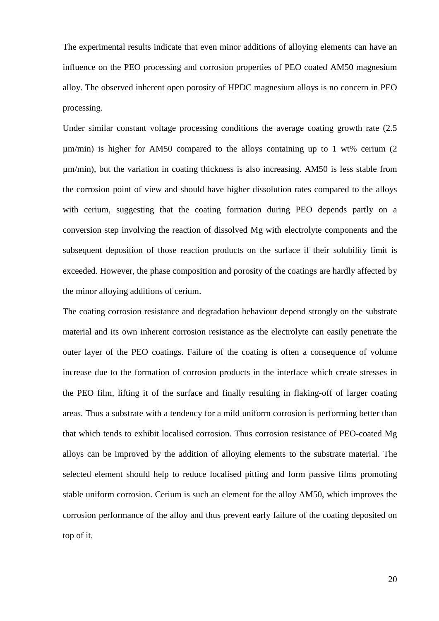The experimental results indicate that even minor additions of alloying elements can have an influence on the PEO processing and corrosion properties of PEO coated AM50 magnesium alloy. The observed inherent open porosity of HPDC magnesium alloys is no concern in PEO processing.

Under similar constant voltage processing conditions the average coating growth rate (2.5 µm/min) is higher for AM50 compared to the alloys containing up to 1 wt% cerium (2 µm/min), but the variation in coating thickness is also increasing. AM50 is less stable from the corrosion point of view and should have higher dissolution rates compared to the alloys with cerium, suggesting that the coating formation during PEO depends partly on a conversion step involving the reaction of dissolved Mg with electrolyte components and the subsequent deposition of those reaction products on the surface if their solubility limit is exceeded. However, the phase composition and porosity of the coatings are hardly affected by the minor alloying additions of cerium.

The coating corrosion resistance and degradation behaviour depend strongly on the substrate material and its own inherent corrosion resistance as the electrolyte can easily penetrate the outer layer of the PEO coatings. Failure of the coating is often a consequence of volume increase due to the formation of corrosion products in the interface which create stresses in the PEO film, lifting it of the surface and finally resulting in flaking-off of larger coating areas. Thus a substrate with a tendency for a mild uniform corrosion is performing better than that which tends to exhibit localised corrosion. Thus corrosion resistance of PEO-coated Mg alloys can be improved by the addition of alloying elements to the substrate material. The selected element should help to reduce localised pitting and form passive films promoting stable uniform corrosion. Cerium is such an element for the alloy AM50, which improves the corrosion performance of the alloy and thus prevent early failure of the coating deposited on top of it.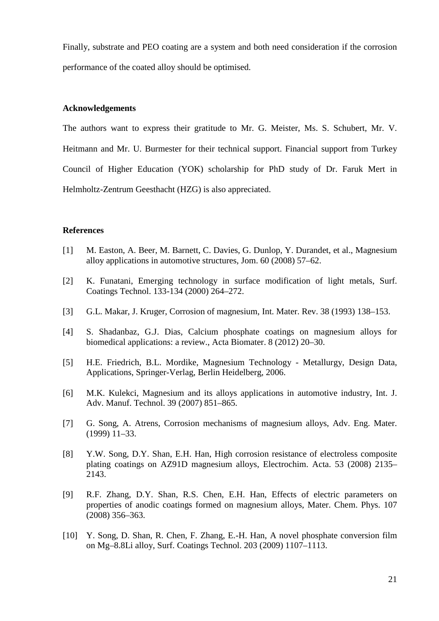Finally, substrate and PEO coating are a system and both need consideration if the corrosion performance of the coated alloy should be optimised.

#### **Acknowledgements**

The authors want to express their gratitude to Mr. G. Meister, Ms. S. Schubert, Mr. V. Heitmann and Mr. U. Burmester for their technical support. Financial support from Turkey Council of Higher Education (YOK) scholarship for PhD study of Dr. Faruk Mert in Helmholtz-Zentrum Geesthacht (HZG) is also appreciated.

# **References**

- [1] M. Easton, A. Beer, M. Barnett, C. Davies, G. Dunlop, Y. Durandet, et al., Magnesium alloy applications in automotive structures, Jom. 60 (2008) 57–62.
- [2] K. Funatani, Emerging technology in surface modification of light metals, Surf. Coatings Technol. 133-134 (2000) 264–272.
- [3] G.L. Makar, J. Kruger, Corrosion of magnesium, Int. Mater. Rev. 38 (1993) 138–153.
- [4] S. Shadanbaz, G.J. Dias, Calcium phosphate coatings on magnesium alloys for biomedical applications: a review., Acta Biomater. 8 (2012) 20–30.
- [5] H.E. Friedrich, B.L. Mordike, Magnesium Technology Metallurgy, Design Data, Applications, Springer-Verlag, Berlin Heidelberg, 2006.
- [6] M.K. Kulekci, Magnesium and its alloys applications in automotive industry, Int. J. Adv. Manuf. Technol. 39 (2007) 851–865.
- [7] G. Song, A. Atrens, Corrosion mechanisms of magnesium alloys, Adv. Eng. Mater. (1999) 11–33.
- [8] Y.W. Song, D.Y. Shan, E.H. Han, High corrosion resistance of electroless composite plating coatings on AZ91D magnesium alloys, Electrochim. Acta. 53 (2008) 2135– 2143.
- [9] R.F. Zhang, D.Y. Shan, R.S. Chen, E.H. Han, Effects of electric parameters on properties of anodic coatings formed on magnesium alloys, Mater. Chem. Phys. 107 (2008) 356–363.
- [10] Y. Song, D. Shan, R. Chen, F. Zhang, E.-H. Han, A novel phosphate conversion film on Mg–8.8Li alloy, Surf. Coatings Technol. 203 (2009) 1107–1113.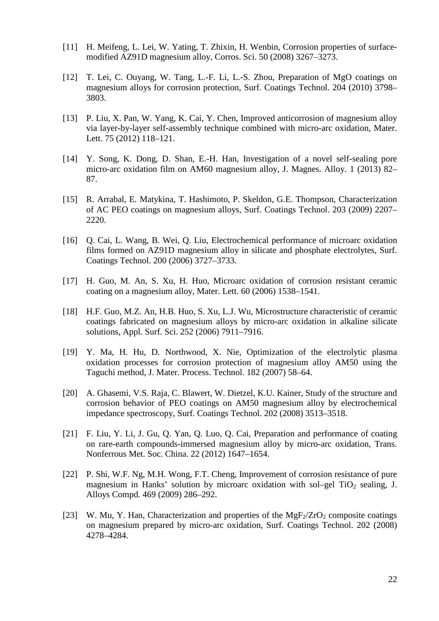- [11] H. Meifeng, L. Lei, W. Yating, T. Zhixin, H. Wenbin, Corrosion properties of surfacemodified AZ91D magnesium alloy, Corros. Sci. 50 (2008) 3267–3273.
- [12] T. Lei, C. Ouyang, W. Tang, L.-F. Li, L.-S. Zhou, Preparation of MgO coatings on magnesium alloys for corrosion protection, Surf. Coatings Technol. 204 (2010) 3798– 3803.
- [13] P. Liu, X. Pan, W. Yang, K. Cai, Y. Chen, Improved anticorrosion of magnesium alloy via layer-by-layer self-assembly technique combined with micro-arc oxidation, Mater. Lett. 75 (2012) 118–121.
- [14] Y. Song, K. Dong, D. Shan, E.-H. Han, Investigation of a novel self-sealing pore micro-arc oxidation film on AM60 magnesium alloy, J. Magnes. Alloy. 1 (2013) 82– 87.
- [15] R. Arrabal, E. Matykina, T. Hashimoto, P. Skeldon, G.E. Thompson, Characterization of AC PEO coatings on magnesium alloys, Surf. Coatings Technol. 203 (2009) 2207– 2220.
- [16] Q. Cai, L. Wang, B. Wei, Q. Liu, Electrochemical performance of microarc oxidation films formed on AZ91D magnesium alloy in silicate and phosphate electrolytes, Surf. Coatings Technol. 200 (2006) 3727–3733.
- [17] H. Guo, M. An, S. Xu, H. Huo, Microarc oxidation of corrosion resistant ceramic coating on a magnesium alloy, Mater. Lett. 60 (2006) 1538–1541.
- [18] H.F. Guo, M.Z. An, H.B. Huo, S. Xu, L.J. Wu, Microstructure characteristic of ceramic coatings fabricated on magnesium alloys by micro-arc oxidation in alkaline silicate solutions, Appl. Surf. Sci. 252 (2006) 7911–7916.
- [19] Y. Ma, H. Hu, D. Northwood, X. Nie, Optimization of the electrolytic plasma oxidation processes for corrosion protection of magnesium alloy AM50 using the Taguchi method, J. Mater. Process. Technol. 182 (2007) 58–64.
- [20] A. Ghasemi, V.S. Raja, C. Blawert, W. Dietzel, K.U. Kainer, Study of the structure and corrosion behavior of PEO coatings on AM50 magnesium alloy by electrochemical impedance spectroscopy, Surf. Coatings Technol. 202 (2008) 3513–3518.
- [21] F. Liu, Y. Li, J. Gu, Q. Yan, Q. Luo, Q. Cai, Preparation and performance of coating on rare-earth compounds-immersed magnesium alloy by micro-arc oxidation, Trans. Nonferrous Met. Soc. China. 22 (2012) 1647–1654.
- [22] P. Shi, W.F. Ng, M.H. Wong, F.T. Cheng, Improvement of corrosion resistance of pure magnesium in Hanks' solution by microarc oxidation with sol–gel  $TiO<sub>2</sub>$  sealing, J. Alloys Compd. 469 (2009) 286–292.
- [23] W. Mu, Y. Han, Characterization and properties of the  $MgF<sub>2</sub>/ZrO<sub>2</sub>$  composite coatings on magnesium prepared by micro-arc oxidation, Surf. Coatings Technol. 202 (2008) 4278–4284.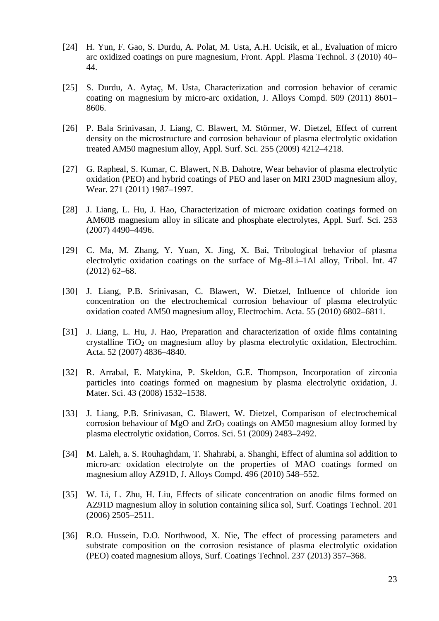- [24] H. Yun, F. Gao, S. Durdu, A. Polat, M. Usta, A.H. Ucisik, et al., Evaluation of micro arc oxidized coatings on pure magnesium, Front. Appl. Plasma Technol. 3 (2010) 40– 44.
- [25] S. Durdu, A. Aytaç, M. Usta, Characterization and corrosion behavior of ceramic coating on magnesium by micro-arc oxidation, J. Alloys Compd. 509 (2011) 8601– 8606.
- [26] P. Bala Srinivasan, J. Liang, C. Blawert, M. Störmer, W. Dietzel, Effect of current density on the microstructure and corrosion behaviour of plasma electrolytic oxidation treated AM50 magnesium alloy, Appl. Surf. Sci. 255 (2009) 4212–4218.
- [27] G. Rapheal, S. Kumar, C. Blawert, N.B. Dahotre, Wear behavior of plasma electrolytic oxidation (PEO) and hybrid coatings of PEO and laser on MRI 230D magnesium alloy, Wear. 271 (2011) 1987–1997.
- [28] J. Liang, L. Hu, J. Hao, Characterization of microarc oxidation coatings formed on AM60B magnesium alloy in silicate and phosphate electrolytes, Appl. Surf. Sci. 253 (2007) 4490–4496.
- [29] C. Ma, M. Zhang, Y. Yuan, X. Jing, X. Bai, Tribological behavior of plasma electrolytic oxidation coatings on the surface of Mg–8Li–1Al alloy, Tribol. Int. 47 (2012) 62–68.
- [30] J. Liang, P.B. Srinivasan, C. Blawert, W. Dietzel, Influence of chloride ion concentration on the electrochemical corrosion behaviour of plasma electrolytic oxidation coated AM50 magnesium alloy, Electrochim. Acta. 55 (2010) 6802–6811.
- [31] J. Liang, L. Hu, J. Hao, Preparation and characterization of oxide films containing crystalline  $TiO<sub>2</sub>$  on magnesium alloy by plasma electrolytic oxidation, Electrochim. Acta. 52 (2007) 4836–4840.
- [32] R. Arrabal, E. Matykina, P. Skeldon, G.E. Thompson, Incorporation of zirconia particles into coatings formed on magnesium by plasma electrolytic oxidation, J. Mater. Sci. 43 (2008) 1532–1538.
- [33] J. Liang, P.B. Srinivasan, C. Blawert, W. Dietzel, Comparison of electrochemical corrosion behaviour of MgO and  $ZrO<sub>2</sub>$  coatings on AM50 magnesium alloy formed by plasma electrolytic oxidation, Corros. Sci. 51 (2009) 2483–2492.
- [34] M. Laleh, a. S. Rouhaghdam, T. Shahrabi, a. Shanghi, Effect of alumina sol addition to micro-arc oxidation electrolyte on the properties of MAO coatings formed on magnesium alloy AZ91D, J. Alloys Compd. 496 (2010) 548–552.
- [35] W. Li, L. Zhu, H. Liu, Effects of silicate concentration on anodic films formed on AZ91D magnesium alloy in solution containing silica sol, Surf. Coatings Technol. 201 (2006) 2505–2511.
- [36] R.O. Hussein, D.O. Northwood, X. Nie, The effect of processing parameters and substrate composition on the corrosion resistance of plasma electrolytic oxidation (PEO) coated magnesium alloys, Surf. Coatings Technol. 237 (2013) 357–368.